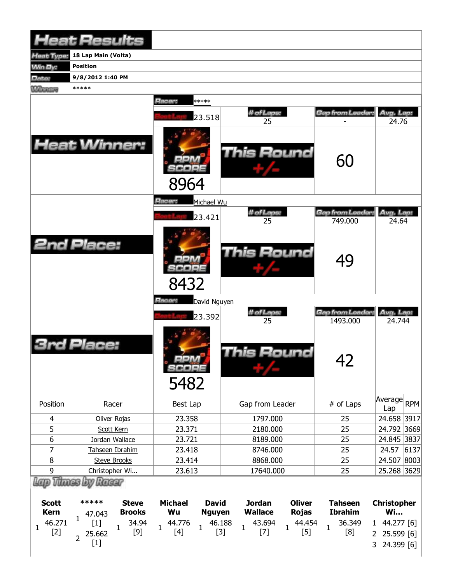|                 | <b>Heat Results</b>    |              |                        |              |                  |               |                                     |                     |      |
|-----------------|------------------------|--------------|------------------------|--------------|------------------|---------------|-------------------------------------|---------------------|------|
| leat Type:      | 18 Lap Main (Volta)    |              |                        |              |                  |               |                                     |                     |      |
| <b>Min By:</b>  | <b>Position</b>        |              |                        |              |                  |               |                                     |                     |      |
| Date:           | 9/8/2012 1:40 PM       |              |                        |              |                  |               |                                     |                     |      |
| <b>Winnipeg</b> | *****                  |              |                        |              |                  |               |                                     |                     |      |
|                 |                        |              | Racer:                 | *****        |                  |               |                                     |                     |      |
|                 |                        |              |                        | 23.518       | # of Laps:<br>25 |               | Gap from Leader:                    | Avg. Lap:<br>24.76  |      |
|                 | <b>Heat Winner:</b>    |              | 8964                   |              | This Round       |               | 60                                  |                     |      |
|                 |                        |              | <b>Racer:</b>          | Michael Wu   |                  |               |                                     |                     |      |
|                 |                        |              |                        |              | # of Laps:       |               | Gap from Leader:                    | Avg. Lap:           |      |
|                 |                        |              |                        | 23.421       | 25               |               | 749.000                             | 24.64               |      |
|                 | <b>2nd Place:</b>      |              | 8432                   |              | This Round       |               | 49                                  |                     |      |
|                 |                        |              | Racer:                 | David Nguyen |                  |               |                                     |                     |      |
|                 |                        |              |                        | 23.392       | # of Laps:<br>25 |               | <b>Gap from Leader:</b><br>1493.000 | Avg. Lap:<br>24.744 |      |
|                 | <b>3rd Place:</b>      |              | $m_A$<br>SCORE<br>5482 |              | This Round       |               | 42                                  |                     |      |
| Position        | Racer                  |              | Best Lap               |              | Gap from Leader  |               | # of Laps                           | Average<br>Lap      | RPM  |
| 4               | Oliver Rojas           |              | 23.358                 |              | 1797.000         |               | 25                                  | 24.658 3917         |      |
| 5               | Scott Kern             |              | 23.371                 |              | 2180.000         |               | 25                                  | 24.792 3669         |      |
| 6               | Jordan Wallace         |              | 23.721                 |              | 8189.000         |               | 25                                  | 24.845 3837         |      |
| $\overline{7}$  | Tahseen Ibrahim        |              | 23.418                 |              | 8746.000         |               | 25                                  | 24.57               | 6137 |
| $\bf 8$         | <b>Steve Brooks</b>    |              | 23.414                 |              | 8868.000         |               | 25                                  | 24.507 8003         |      |
| 9               | Christopher Wi         |              | 23.613                 |              | 17640.000        |               | 25                                  | 25.268 3629         |      |
| <b>Scott</b>    | Thus by Racer<br>***** | <b>Steve</b> | <b>Michael</b>         | <b>David</b> | <b>Jordan</b>    | <b>Oliver</b> | <b>Tahseen</b>                      | <b>Christopher</b>  |      |

| <b>SCOLL</b>          | where the also also | этеуе         | michael | David  | Jordan . | <b>UIIVE</b> | Tanseen i      | <b>C</b> nristopher |
|-----------------------|---------------------|---------------|---------|--------|----------|--------------|----------------|---------------------|
| Kern                  | 47.043              | <b>Brooks</b> | Wu      | Nguyen | Wallace  | Rojas        | <b>Ibrahim</b> | Wi                  |
| $[2]$<br>$\mathbf{r}$ |                     |               |         |        |          |              |                |                     |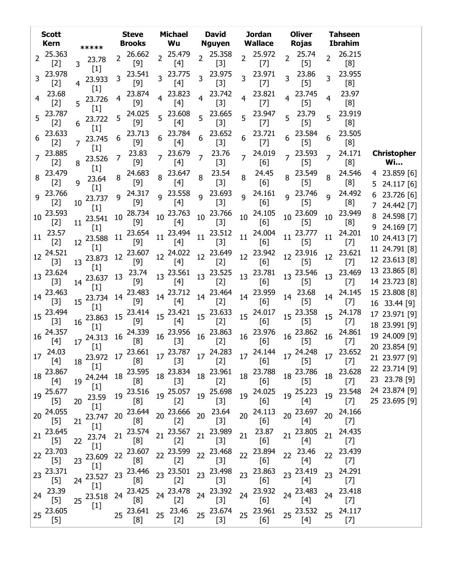|                 | <b>Scott</b><br><b>Kern</b>                                                                                              | *****                    | <b>Steve</b><br><b>Brooks</b>    | <b>Michael</b><br>Wu                | <b>David</b><br><b>Nguyen</b>                                                                                                 | <b>Jordan</b><br><b>Wallace</b> | <b>Oliver</b><br><b>Rojas</b>     | <b>Tahseen</b><br><b>Ibrahim</b> |                                  |
|-----------------|--------------------------------------------------------------------------------------------------------------------------|--------------------------|----------------------------------|-------------------------------------|-------------------------------------------------------------------------------------------------------------------------------|---------------------------------|-----------------------------------|----------------------------------|----------------------------------|
| 2               | 25.363<br>$[2]$                                                                                                          | 23.78<br>3               | 26.662<br>2<br>$[9]$             | 25.479<br>$\overline{2}$<br>$[4]$   | 25.358<br>$\overline{2}$<br>$[3]$                                                                                             | 25.972<br>2<br>$[7]$            | 25.74<br>$\overline{2}$<br>$[5]$  | 26.215<br>2<br>[8]               |                                  |
| 3               | 23.978<br>$[2]$                                                                                                          | $[1]$<br>23.933<br>$[1]$ | 23.541<br>3<br>$[9]$             | 23.775<br>$\overline{3}$<br>$[4]$   | 23.975<br>3<br>$[3]$                                                                                                          | 23.971<br>3<br>$[7]$            | 23.86<br>3<br>$[5]$               | 23.955<br>3<br>[8]               |                                  |
| 4               | 23.68<br>$[2]$                                                                                                           | 23.726<br>5              | 23.874<br>[9]                    | 23.823<br>$[4]$                     | 23.742<br>$[3]$                                                                                                               | 23.821<br>4<br>$[7]$            | 23.745<br>4<br>$[5]$              | 23.97<br>4<br>[8]                |                                  |
| 5               | 23.787<br>$[2]$                                                                                                          | $[1]$<br>23.722<br>6     | 24.025<br>5<br>$[9]$             | 23.608<br>5<br>$[4]$                | 23.665<br>5<br>[3]                                                                                                            | 23.947<br>5<br>$[7]$            | 23.79<br>5<br>$[5]$               | 23.919<br>5<br>[8]               |                                  |
| 6               | 23.633<br>$[2]$                                                                                                          | $[1]$<br>23.745<br>7     | 23.713<br>6<br>$[9]$             | 23.784<br>6<br>[4]                  | 23.652<br>6<br>$[3]$                                                                                                          | 23.721<br>6<br>$[7]$            | 23.584<br>$[5]$                   | 23.505<br>6<br>[8]               |                                  |
| 7               | 23.885<br>$[2]$                                                                                                          | $[1]$<br>23.526<br>8     | 23.83<br>7<br>[9]                | 23.679<br>$\overline{7}$<br>$[4]$   | 23.76<br>7<br>$[3]$                                                                                                           | 24.019<br>7<br>[6]              | 23.593<br>$\overline{7}$<br>$[5]$ | 24.171<br>7<br>[8]               | <b>Christopher</b><br><b>Wi</b>  |
| 8               | 23.479<br>$[2]$                                                                                                          | $[1]$<br>23.64<br>9      | 24.683<br>8<br>$[9]$             | 23.647<br>$[4]$                     | 23.54<br>8<br>$[3]$                                                                                                           | 24.45<br>8<br>[6]               | 23.549<br>8<br>$[5]$              | 24.546<br>8<br>[8]               | 4 23.859 [6]<br>24.117 [6]<br>5  |
| 9               | 23.766<br>$[2]$                                                                                                          | $[1]$<br>23.737<br>10    | 24.317<br>9<br>$[9]$             | 23.558<br>q<br>$[4]$                | 23.693<br>$\mathsf{q}$<br>[3]                                                                                                 | 24.161<br>9<br>[6]              | 23.746<br>$\mathsf{q}$<br>$[5]$   | 24.492<br>9<br>[8]               | 23.726 [6]<br>6.<br>7 24.442 [7] |
| 10              | 23.593<br>$[2]$                                                                                                          | $[1]$<br>23.541<br>11    | 28.734<br>10<br>$[9]$            | 23.763<br>10<br>$[4]$               | 23.766<br>10<br>$[3]$                                                                                                         | 24.105<br>10<br>[6]             | 23.609<br>10<br>$[5]$             | 23.949<br>10<br>[8]              | 24.598 [7]                       |
| 11              | 23.57<br>$[2]$                                                                                                           | $[1]$<br>23.588<br>12    | 23.654<br>11<br>$[9]$            | 23.494<br>11<br>$[4]$               | 23.512<br>11<br>$[3]$                                                                                                         | 24.004<br>11<br>[6]             | 23.777<br>11<br>$[5]$             | 24.201<br>11<br>$[7]$            | 9 24.169 [7]<br>10 24.413 [7]    |
| 12              | 24.521<br>$[3]$                                                                                                          | $[1]$<br>23.873<br>13    | 23.607<br>12<br>$[9]$            | 24.022<br>12 <sup>12</sup><br>$[4]$ | 23.649<br>12<br>$[2]$                                                                                                         | 23.942<br>12<br>[6]             | 23.916<br>12<br>$[5]$             | 23.621<br>12<br>$[7]$            | 11 24.791 [8]<br>12 23.613 [8]   |
| 13              | 23.624<br>$[3]$                                                                                                          | $[1]$<br>23.637<br>14    | 23.74<br>13<br>$[9]$             | 23.561<br>13<br>$[4]$               | 23.525<br>13<br>$[2]$                                                                                                         | 23.781<br>13<br>[6]             | 23.546<br>13<br>$[5]$             | 23.469<br>13<br>$[7]$            | 13 23.865 [8]<br>14 23.723 [8]   |
| 14              | 23.463<br>$[3]$                                                                                                          | $[1]$<br>23.734<br>15    | 23.483<br>14<br>$[9]$            | 14 23.712<br>$[4]$                  | 23.464<br>14<br>$[2]$                                                                                                         | 23.959<br>14<br>[6]             | 23.68<br>14<br>$[5]$              | 24.145<br>14<br>$[7]$            | 15 23.808 [8]<br>16 33.44 [9]    |
| 15              | 23.494<br>$[3]$                                                                                                          | $[1]$<br>23.863<br>16    | 23.414<br>15<br>$[9]$            | 15 23.421<br>$[4]$                  | 15 23.633<br>$[2]$                                                                                                            | 24.017<br>15<br>[6]             | 15 23.358<br>$[5]$                | 24.178<br>15<br>$[7]$            | 17 23.971 [9]<br>18 23.991 [9]   |
| 16              | 24.357<br>$[4]$                                                                                                          | $[1]$<br>24.313<br>17    | 24.339<br>16<br>[8]              | 23.956<br>16<br>$[3]$               | 23.863<br>16<br>$[2]$                                                                                                         | 23.976<br>16<br>[6]             | 23.862<br>16<br>$[5]$             | 24.861<br>16<br>$[7]$            | 19 24.009 [9]                    |
|                 | 17 24.03<br>$[4] % \includegraphics[width=0.9\columnwidth]{figures/fig_4} \caption{A=}\ \vspace{0.8cm} \label{fig:4}} %$ | $[1]$                    | 18 23.972 17 23.661              | $[3]$                               | $17\begin{array}{l}\n 23.787 \\  \hline\n 17\end{array}$ $17\begin{array}{l}\n 24.283 \\  \hline\n 17\n \end{array}$<br>$[2]$ | 17 24.144<br>[6]                | 17 24.248<br>$[5]$                | $17^{23.652}$<br>$[7]$           | 20 23.854 [9]<br>21 23.977 [9]   |
| 18              | 23.867<br>[4]                                                                                                            | $[1]$<br>24.244<br>19    | 23.595<br>18<br>[8]              | 18 23.834<br>$[3]$                  | 23.961<br>18<br>$[2]$                                                                                                         | 23.788<br>18<br>[6]             | 18 23.786<br>$[5]$                | 23.628<br>18<br>$[7]$            | 22 23.714 [9]<br>23 23.78 [9]    |
| 19              | 25.677<br>[5]                                                                                                            | $[1]$<br>23.59<br>20     | 23.516<br>19<br>[8]              | 25.057<br>19<br>$[2]$               | 25.698<br>19<br>$[3]$                                                                                                         | 24.025<br>19<br>[6]             | 25.223<br>19<br>$[4]$             | 23.548<br>19<br>$[7]$            | 24 23.874 [9]<br>25 23.695 [9]   |
| 20              | 24.055<br>$[5]$                                                                                                          | $[1]$<br>23.747<br>21    | 23.644<br>20<br>[8]              | 23.666<br>20<br>$[2]$               | 23.64<br>20<br>$[3]$                                                                                                          | 24.113<br>20<br>[6]             | 23.697<br>20<br>$[4]$             | 24.166<br>20<br>$[7]$            |                                  |
| 21              | 23.645<br>$[5]$                                                                                                          | $[1]$<br>23.74<br>22     | 23.574<br>21<br>[8]              | 23.567<br>21<br>$[2]$               | 23.989<br>21<br>$[3]$                                                                                                         | 23.87<br>21<br>[6]              | 21 23.805<br>[4]                  | 24.435<br>21<br>$[7]$            |                                  |
| 22              | 23.703<br>$[5]$                                                                                                          | $[1]$<br>23.609<br>23    | 23.607<br>22<br>[8]              | 23.599<br>22<br>$[2]$               | 23.468<br>22<br>$[3]$                                                                                                         | 23.894<br>22<br>[6]             | 23.46<br>22<br>$[4]$              | 23.439<br>22<br>$[7]$            |                                  |
| 23              | 23.371<br>[5]                                                                                                            | $[1]$<br>23.527<br>24    | 23.446<br>23<br>[8]              | 23.501<br>23<br>$[2]$               | 23.498<br>23<br>$[3]$                                                                                                         | 23.863<br>23<br>[6]             | 23.419<br>23<br>[4]               | 24.291<br>23<br>$[7]$            |                                  |
| 24              | 23.39<br>$[5]$                                                                                                           | $[1]$<br>23.518<br>25    | 23.425<br>24<br>[8]              | 23.478<br>24<br>$[2]$               | 23.392<br>24<br>$[3]$                                                                                                         | 23.932<br>24<br>[6]             | 24 23.483<br>$[4]$                | 23.418<br>24<br>$[7]$            |                                  |
| 25 <sub>1</sub> | 23.605<br>$[5]$                                                                                                          | $[1]$                    | 23.641<br>25 <sub>2</sub><br>[8] | 25 23.46<br>$[2]$                   | 25 23.674<br>$[3]$                                                                                                            | 25 23.961<br>[6]                | 25 23.532<br>[4]                  | 24.117<br>25<br>$[7]$            |                                  |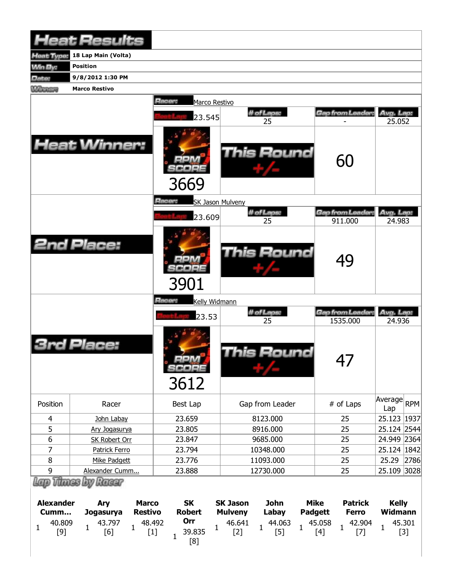|                  | <b>Heat Results</b>                       |                                   |                                |                               |                              |
|------------------|-------------------------------------------|-----------------------------------|--------------------------------|-------------------------------|------------------------------|
| leat Type:       | 18 Lap Main (Volta)                       |                                   |                                |                               |                              |
| <b>Win By:</b>   | <b>Position</b>                           |                                   |                                |                               |                              |
| Date:            | 9/8/2012 1:30 PM                          |                                   |                                |                               |                              |
| <b>Winners</b>   | <b>Marco Restivo</b>                      |                                   |                                |                               |                              |
|                  |                                           | Racer:<br>Marco Restivo<br>23.545 | # of Laps:<br>25               | Gap from Leader:              | Avg. Lap:<br>25.052          |
|                  | <b>Heat Winner:</b>                       | 3669                              | This Round                     | 60                            |                              |
|                  |                                           | <b>Racer:</b><br>SK Jason Mulveny |                                |                               |                              |
|                  |                                           | 23.609                            | # of Laps:<br>25               | Gap from Leader:              | Avg. Lap:                    |
|                  | <b>2nd Place:</b>                         | 3901                              | <b>This Round</b>              | 911.000<br>49                 | 24.983                       |
|                  |                                           | Racer:<br>Kelly Widmann           |                                |                               |                              |
|                  |                                           | 23.53                             | # of Laps:<br>25               | Gap from Leader:<br>1535.000  | Avg. Lap:<br>24.936          |
|                  | Place:                                    | <b>MAG</b><br>SCORE<br>3612       | <b>This Round</b>              | 47                            |                              |
| Position         | Racer                                     | Best Lap                          | Gap from Leader                | # of Laps                     | Average<br><b>RPM</b><br>Lap |
| 4                | John Labay                                | 23.659                            | 8123.000                       | 25                            | 25.123<br>1937               |
| 5                | Ary Jogasurya                             | 23.805                            | 8916.000                       | 25                            | 25.124 2544                  |
| 6                | <b>SK Robert Orr</b>                      | 23.847                            | 9685.000                       | 25                            | 24.949 2364                  |
| 7                | Patrick Ferro                             | 23.794                            | 10348.000                      | 25                            | 25.124 1842                  |
| 8                | Mike Padgett                              | 23.776                            | 11093.000                      | 25                            | 25.29<br>2786                |
| 9                | Alexander Cumm                            | 23.888                            | 12730.000                      | 25                            | 25.109<br> 3028              |
| <b>Alexander</b> | Lap Thues by Racer<br><b>Marco</b><br>Ary | <b>SK</b>                         | <b>John</b><br><b>SK Jason</b> | <b>Mike</b><br><b>Patrick</b> | <b>Kelly</b>                 |

|              | <b>Alexander</b><br>Cumm | <b>Arv</b><br>Jogasurva | Marco<br>Restivo | <b>SK</b><br><b>Robert</b> | SK Jason<br><b>Mulveny</b>                  | John<br>Labay | Mike<br><b>Padgett</b> | Patrick<br><b>Ferro</b>                             | <b>Kelly</b><br>Widmann |
|--------------|--------------------------|-------------------------|------------------|----------------------------|---------------------------------------------|---------------|------------------------|-----------------------------------------------------|-------------------------|
| $\mathbf{r}$ | 40.809<br>[9]            | 43.797<br>[6]           | 48.492           | Orr<br>39.835<br>[8]       | $\frac{46.641}{121}$ 1<br>$\lceil 2 \rceil$ |               |                        | 44.063  45.058  42.904  1<br>[5]  1  [4]  1  [7]  1 | 45.301<br>[3]           |